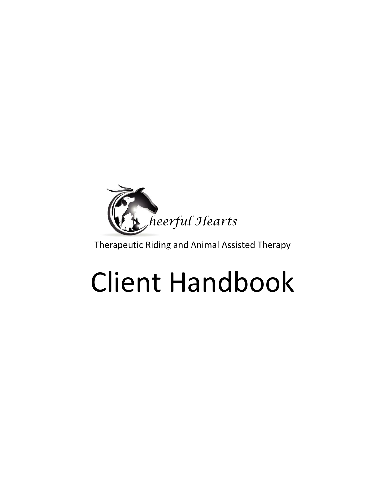

Therapeutic Riding and Animal Assisted Therapy

# Client Handbook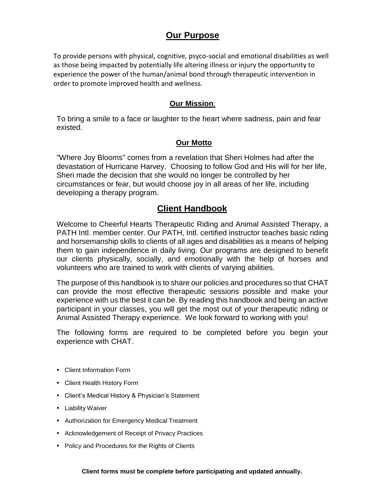# **Our Purpose**

To provide persons with physical, cognitive, psyco-social and emotional disabilities as well as those being impacted by potentially life altering illness or injury the opportunity to experience the power of the human/animal bond through therapeutic intervention in order to promote improved health and wellness.

## **Our Mission**:

To bring a smile to a face or laughter to the heart where sadness, pain and fear existed.

## **Our Motto**

"Where Joy Blooms" comes from a revelation that Sheri Holmes had after the devastation of Hurricane Harvey. Choosing to follow God and His will for her life, Sheri made the decision that she would no longer be controlled by her circumstances or fear, but would choose joy in all areas of her life, including developing a therapy program.

# **Client Handbook**

Welcome to Cheerful Hearts Therapeutic Riding and Animal Assisted Therapy, a PATH Intl. member center. Our PATH, Intl. certified instructor teaches basic riding and horsemanship skills to clients of all ages and disabilities as a means of helping them to gain independence in daily living. Our programs are designed to benefit our clients physically, socially, and emotionally with the help of horses and volunteers who are trained to work with clients of varying abilities.

The purpose of this handbook is to share our policies and procedures so that CHAT can provide the most effective therapeutic sessions possible and make your experience with us the best it can be. By reading this handbook and being an active participant in your classes, you will get the most out of your therapeutic riding or Animal Assisted Therapy experience. We look forward to working with you!

The following forms are required to be completed before you begin your experience with CHAT.

- Client Information Form
- Client Health History Form
- Client's Medical History & Physician's Statement
- Liability Waiver
- Authorization for Emergency Medical Treatment
- Acknowledgement of Receipt of Privacy Practices
- Policy and Procedures for the Rights of Clients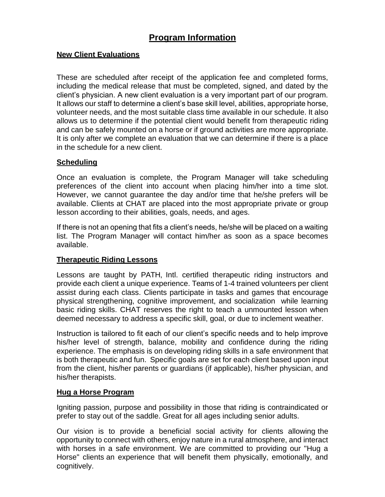# **Program Information**

## **New Client Evaluations**

These are scheduled after receipt of the application fee and completed forms, including the medical release that must be completed, signed, and dated by the client's physician. A new client evaluation is a very important part of our program. It allows our staff to determine a client's base skill level, abilities, appropriate horse, volunteer needs, and the most suitable class time available in our schedule. It also allows us to determine if the potential client would benefit from therapeutic riding and can be safely mounted on a horse or if ground activities are more appropriate. It is only after we complete an evaluation that we can determine if there is a place in the schedule for a new client.

## **Scheduling**

Once an evaluation is complete, the Program Manager will take scheduling preferences of the client into account when placing him/her into a time slot. However, we cannot guarantee the day and/or time that he/she prefers will be available. Clients at CHAT are placed into the most appropriate private or group lesson according to their abilities, goals, needs, and ages.

If there is not an opening that fits a client's needs, he/she will be placed on a waiting list. The Program Manager will contact him/her as soon as a space becomes available.

## **Therapeutic Riding Lessons**

Lessons are taught by PATH, Intl. certified therapeutic riding instructors and provide each client a unique experience. Teams of 1-4 trained volunteers per client assist during each class. Clients participate in tasks and games that encourage physical strengthening, cognitive improvement, and socialization while learning basic riding skills. CHAT reserves the right to teach a unmounted lesson when deemed necessary to address a specific skill, goal, or due to inclement weather.

Instruction is tailored to fit each of our client's specific needs and to help improve his/her level of strength, balance, mobility and confidence during the riding experience. The emphasis is on developing riding skills in a safe environment that is both therapeutic and fun. Specific goals are set for each client based upon input from the client, his/her parents or guardians (if applicable), his/her physician, and his/her therapists.

## **Hug a Horse Program**

Igniting passion, purpose and possibility in those that riding is contraindicated or prefer to stay out of the saddle. Great for all ages including senior adults.

Our vision is to provide a beneficial social activity for clients allowing the opportunity to connect with others, enjoy nature in a rural atmosphere, and interact with horses in a safe environment. We are committed to providing our "Hug a Horse" clients an experience that will benefit them physically, emotionally, and cognitively.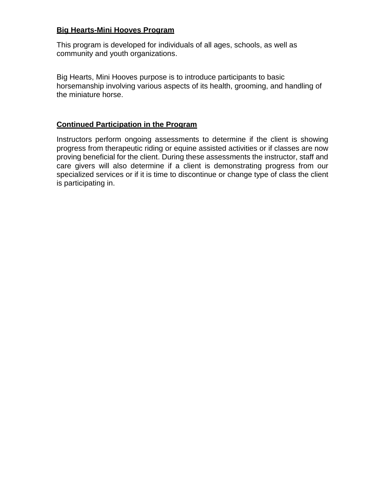## **Big Hearts-Mini Hooves Program**

This program is developed for individuals of all ages, schools, as well as community and youth organizations.

Big Hearts, Mini Hooves purpose is to introduce participants to basic horsemanship involving various aspects of its health, grooming, and handling of the miniature horse.

## **Continued Participation in the Program**

Instructors perform ongoing assessments to determine if the client is showing progress from therapeutic riding or equine assisted activities or if classes are now proving beneficial for the client. During these assessments the instructor, staff and care givers will also determine if a client is demonstrating progress from our specialized services or if it is time to discontinue or change type of class the client is participating in.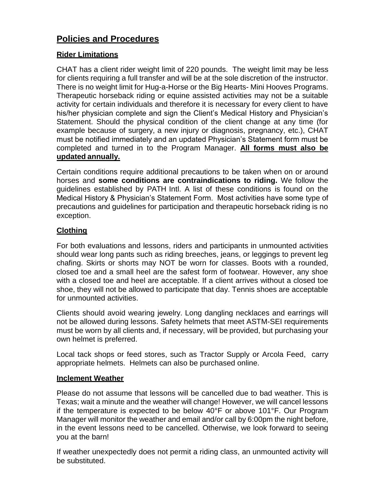# **Policies and Procedures**

## **Rider Limitations**

CHAT has a client rider weight limit of 220 pounds. The weight limit may be less for clients requiring a full transfer and will be at the sole discretion of the instructor. There is no weight limit for Hug-a-Horse or the Big Hearts- Mini Hooves Programs. Therapeutic horseback riding or equine assisted activities may not be a suitable activity for certain individuals and therefore it is necessary for every client to have his/her physician complete and sign the Client's Medical History and Physician's Statement. Should the physical condition of the client change at any time (for example because of surgery, a new injury or diagnosis, pregnancy, etc.), CHAT must be notified immediately and an updated Physician's Statement form must be completed and turned in to the Program Manager. **All forms must also be updated annually.**

Certain conditions require additional precautions to be taken when on or around horses and **some conditions are contraindications to riding.** We follow the guidelines established by PATH Intl. A list of these conditions is found on the Medical History & Physician's Statement Form. Most activities have some type of precautions and guidelines for participation and therapeutic horseback riding is no exception.

## **Clothing**

For both evaluations and lessons, riders and participants in unmounted activities should wear long pants such as riding breeches, jeans, or leggings to prevent leg chafing. Skirts or shorts may NOT be worn for classes. Boots with a rounded, closed toe and a small heel are the safest form of footwear. However, any shoe with a closed toe and heel are acceptable. If a client arrives without a closed toe shoe, they will not be allowed to participate that day. Tennis shoes are acceptable for unmounted activities.

Clients should avoid wearing jewelry. Long dangling necklaces and earrings will not be allowed during lessons. Safety helmets that meet ASTM-SEI requirements must be worn by all clients and, if necessary, will be provided, but purchasing your own helmet is preferred.

Local tack shops or feed stores, such as Tractor Supply or Arcola Feed, carry appropriate helmets. Helmets can also be purchased online.

## **Inclement Weather**

Please do not assume that lessons will be cancelled due to bad weather. This is Texas; wait a minute and the weather will change! However, we will cancel lessons if the temperature is expected to be below 40°F or above 101°F. Our Program Manager will monitor the weather and email and/or call by 6:00pm the night before, in the event lessons need to be cancelled. Otherwise, we look forward to seeing you at the barn!

If weather unexpectedly does not permit a riding class, an unmounted activity will be substituted.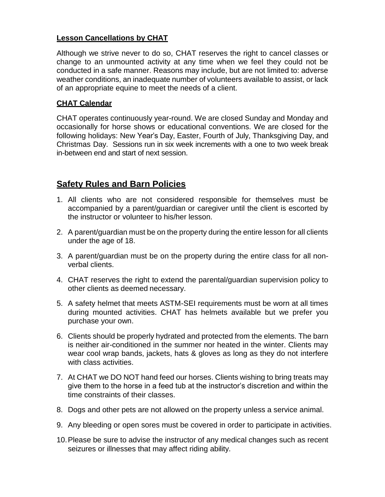## **Lesson Cancellations by CHAT**

Although we strive never to do so, CHAT reserves the right to cancel classes or change to an unmounted activity at any time when we feel they could not be conducted in a safe manner. Reasons may include, but are not limited to: adverse weather conditions, an inadequate number of volunteers available to assist, or lack of an appropriate equine to meet the needs of a client.

## **CHAT Calendar**

CHAT operates continuously year-round. We are closed Sunday and Monday and occasionally for horse shows or educational conventions. We are closed for the following holidays: New Year's Day, Easter, Fourth of July, Thanksgiving Day, and Christmas Day. Sessions run in six week increments with a one to two week break in-between end and start of next session.

# **Safety Rules and Barn Policies**

- 1. All clients who are not considered responsible for themselves must be accompanied by a parent/guardian or caregiver until the client is escorted by the instructor or volunteer to his/her lesson.
- 2. A parent/guardian must be on the property during the entire lesson for all clients under the age of 18.
- 3. A parent/guardian must be on the property during the entire class for all nonverbal clients.
- 4. CHAT reserves the right to extend the parental/guardian supervision policy to other clients as deemed necessary.
- 5. A safety helmet that meets ASTM-SEI requirements must be worn at all times during mounted activities. CHAT has helmets available but we prefer you purchase your own.
- 6. Clients should be properly hydrated and protected from the elements. The barn is neither air-conditioned in the summer nor heated in the winter. Clients may wear cool wrap bands, jackets, hats & gloves as long as they do not interfere with class activities.
- 7. At CHAT we DO NOT hand feed our horses. Clients wishing to bring treats may give them to the horse in a feed tub at the instructor's discretion and within the time constraints of their classes.
- 8. Dogs and other pets are not allowed on the property unless a service animal.
- 9. Any bleeding or open sores must be covered in order to participate in activities.
- 10.Please be sure to advise the instructor of any medical changes such as recent seizures or illnesses that may affect riding ability.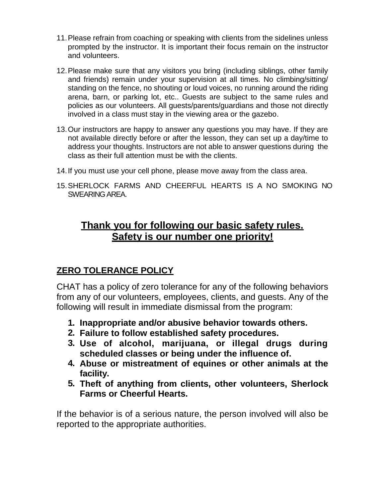- 11.Please refrain from coaching or speaking with clients from the sidelines unless prompted by the instructor. It is important their focus remain on the instructor and volunteers.
- 12.Please make sure that any visitors you bring (including siblings, other family and friends) remain under your supervision at all times. No climbing/sitting/ standing on the fence, no shouting or loud voices, no running around the riding arena, barn, or parking lot, etc.. Guests are subject to the same rules and policies as our volunteers. All guests/parents/guardians and those not directly involved in a class must stay in the viewing area or the gazebo.
- 13.Our instructors are happy to answer any questions you may have. If they are not available directly before or after the lesson, they can set up a day/time to address your thoughts. Instructors are not able to answer questions during the class as their full attention must be with the clients.
- 14.If you must use your cell phone, please move away from the class area.
- 15.SHERLOCK FARMS AND CHEERFUL HEARTS IS A NO SMOKING NO SWEARING AREA.

# **Thank you for following our basic safety rules. Safety is our number one priority!**

# **ZERO TOLERANCE POLICY**

CHAT has a policy of zero tolerance for any of the following behaviors from any of our volunteers, employees, clients, and guests. Any of the following will result in immediate dismissal from the program:

- **1. Inappropriate and/or abusive behavior towards others.**
- **2. Failure to follow established safety procedures.**
- **3. Use of alcohol, marijuana, or illegal drugs during scheduled classes or being under the influence of.**
- **4. Abuse or mistreatment of equines or other animals at the facility.**
- **5. Theft of anything from clients, other volunteers, Sherlock Farms or Cheerful Hearts.**

If the behavior is of a serious nature, the person involved will also be reported to the appropriate authorities.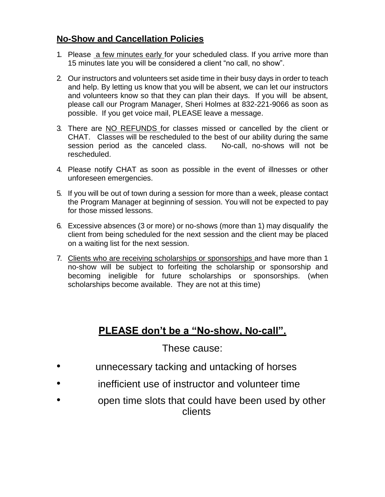# **No-Show and Cancellation Policies**

- 1. Please a few minutes early for your scheduled class. If you arrive more than 15 minutes late you will be considered a client "no call, no show".
- 2. Our instructors and volunteers set aside time in their busy days in order to teach and help. By letting us know that you will be absent, we can let our instructors and volunteers know so that they can plan their days. If you will be absent, please call our Program Manager, Sheri Holmes at 832-221-9066 as soon as possible. If you get voice mail, PLEASE leave a message.
- 3. There are NO REFUNDS for classes missed or cancelled by the client or CHAT. Classes will be rescheduled to the best of our ability during the same session period as the canceled class. No-call, no-shows will not be rescheduled.
- 4. Please notify CHAT as soon as possible in the event of illnesses or other unforeseen emergencies.
- 5. If you will be out of town during a session for more than a week, please contact the Program Manager at beginning of session. You will not be expected to pay for those missed lessons.
- 6. Excessive absences (3 or more) or no-shows (more than 1) may disqualify the client from being scheduled for the next session and the client may be placed on a waiting list for the next session.
- 7. Clients who are receiving scholarships or sponsorships and have more than 1 no-show will be subject to forfeiting the scholarship or sponsorship and becoming ineligible for future scholarships or sponsorships. (when scholarships become available. They are not at this time)

# **PLEASE don't be a "No-show, No-call".**

# These cause:

- unnecessary tacking and untacking of horses
- inefficient use of instructor and volunteer time
- open time slots that could have been used by other clients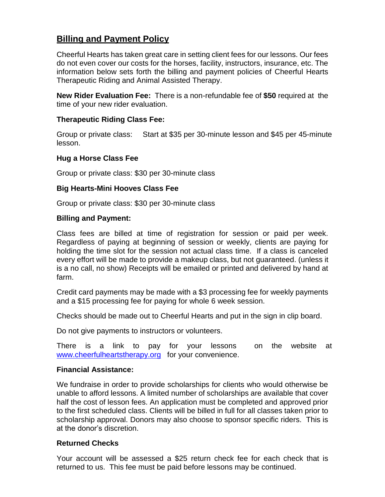# **Billing and Payment Policy**

Cheerful Hearts has taken great care in setting client fees for our lessons. Our fees do not even cover our costs for the horses, facility, instructors, insurance, etc. The information below sets forth the billing and payment policies of Cheerful Hearts Therapeutic Riding and Animal Assisted Therapy.

**New Rider Evaluation Fee:** There is a non-refundable fee of **\$50** required at the time of your new rider evaluation.

## **Therapeutic Riding Class Fee:**

Group or private class: Start at \$35 per 30-minute lesson and \$45 per 45-minute lesson.

## **Hug a Horse Class Fee**

Group or private class: \$30 per 30-minute class

## **Big Hearts-Mini Hooves Class Fee**

Group or private class: \$30 per 30-minute class

## **Billing and Payment:**

Class fees are billed at time of registration for session or paid per week. Regardless of paying at beginning of session or weekly, clients are paying for holding the time slot for the session not actual class time. If a class is canceled every effort will be made to provide a makeup class, but not guaranteed. (unless it is a no call, no show) Receipts will be emailed or printed and delivered by hand at farm.

Credit card payments may be made with a \$3 processing fee for weekly payments and a \$15 processing fee for paying for whole 6 week session.

Checks should be made out to Cheerful Hearts and put in the sign in clip board.

Do not give payments to instructors or volunteers.

There is a link to pay for your lessons on the website at [www.cheerfulheartstherapy.org](http://www.cheerfulheartstherapy.org/) for your convenience.

#### **Financial Assistance:**

We fundraise in order to provide scholarships for clients who would otherwise be unable to afford lessons. A limited number of scholarships are available that cover half the cost of lesson fees. An application must be completed and approved prior to the first scheduled class. Clients will be billed in full for all classes taken prior to scholarship approval. Donors may also choose to sponsor specific riders. This is at the donor's discretion.

## **Returned Checks**

Your account will be assessed a \$25 return check fee for each check that is returned to us. This fee must be paid before lessons may be continued.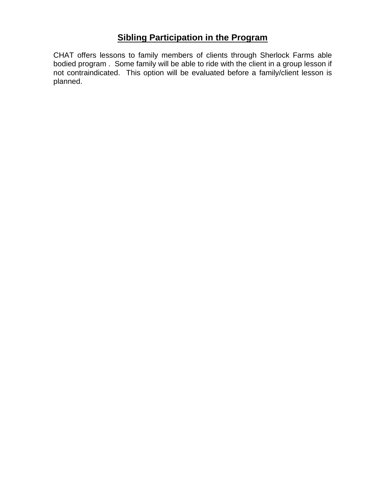# **Sibling Participation in the Program**

CHAT offers lessons to family members of clients through Sherlock Farms able bodied program . Some family will be able to ride with the client in a group lesson if not contraindicated. This option will be evaluated before a family/client lesson is planned.